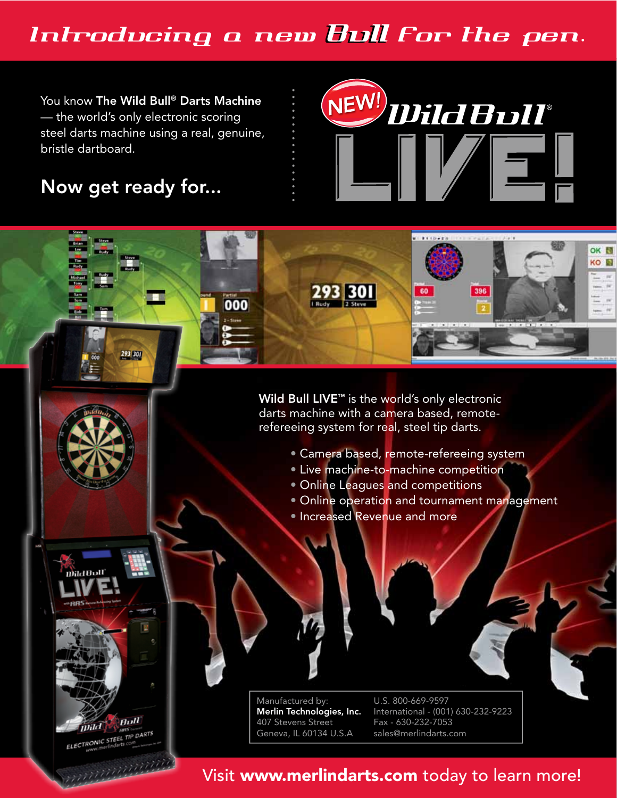## Introducing a new Bull for the pen.

You know The Wild Bull® Darts Machine - the world's only electronic scoring steel darts machine using a real, genuine, bristle dartboard.

### Now get ready for...

293 301

**Bull**  $mld$ ELECTRONIC STEEL TIP DARTS

maanaanaan

**Vild Bull** 

Manufactured by: Merlin Technologies, Inc. 407 Stevens Street Geneva, IL 60134 U.S.A

U.S. 800-669-9597 International - (001) 630-232-9223 Fax - 630-232-7053 sales@merlindarts.com



- · Camera based, remote-refereeing system
- · Live machine-to-machine competition
- Online Leagues and competitions
- Online operation and tournament management

NEW!) Uild Bull®

. . . . **. .** .

60

396

OK **N** KO N

· Increased Revenue and more

293 301

000

Visit www.merlindarts.com today to learn more!